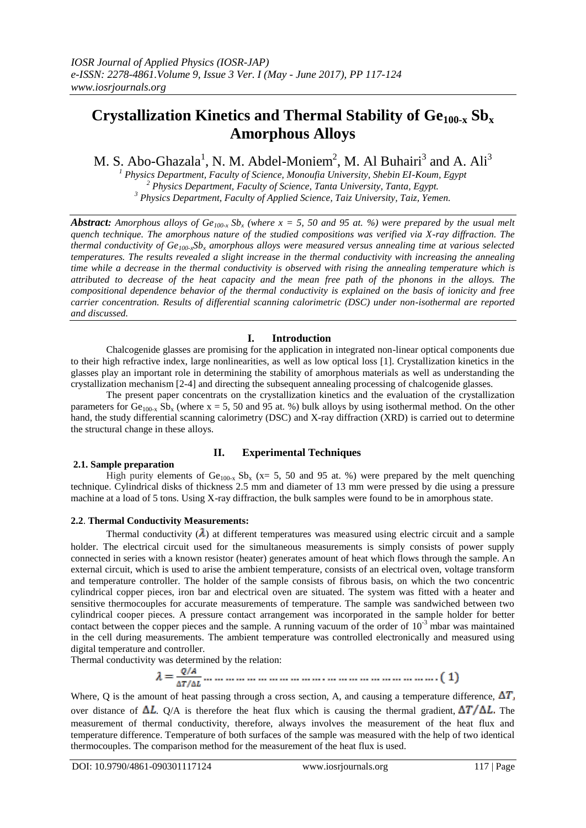# **Crystallization Kinetics and Thermal Stability of Ge100-x Sb<sup>x</sup> Amorphous Alloys**

M. S. Abo-Ghazala<sup>1</sup>, N. M. Abdel-Moniem<sup>2</sup>, M. Al Buhairi<sup>3</sup> and A. Ali<sup>3</sup>

*<sup>1</sup> Physics Department, Faculty of Science, Monoufia University, Shebin EI-Koum, Egypt <sup>2</sup> Physics Department, Faculty of Science, Tanta University, Tanta, Egypt. <sup>3</sup> Physics Department, Faculty of Applied Science, Taiz University, Taiz, Yemen.*

*Abstract: Amorphous alloys of Ge<sub>100-x</sub> Sb<sub>x</sub> (where*  $x = 5$ *, 50 and 95 at. %) were prepared by the usual melt quench technique. The amorphous nature of the studied compositions was verified via X-ray diffraction. The thermal conductivity of Ge100-xSb<sup>x</sup> amorphous alloys were measured versus annealing time at various selected temperatures. The results revealed a slight increase in the thermal conductivity with increasing the annealing time while a decrease in the thermal conductivity is observed with rising the annealing temperature which is attributed to decrease of the heat capacity and the mean free path of the phonons in the alloys. The compositional dependence behavior of the thermal conductivity is explained on the basis of ionicity and free carrier concentration. Results of differential scanning calorimetric (DSC) under non-isothermal are reported and discussed.*

# **I. Introduction**

Chalcogenide glasses are promising for the application in integrated non-linear optical components due to their high refractive index, large nonlinearities, as well as low optical loss [1]. Crystallization kinetics in the glasses play an important role in determining the stability of amorphous materials as well as understanding the crystallization mechanism [2-4] and directing the subsequent annealing processing of chalcogenide glasses.

The present paper concentrats on the crystallization kinetics and the evaluation of the crystallization parameters for  $Ge_{100-x}$  Sb<sub>x</sub> (where x = 5, 50 and 95 at. %) bulk alloys by using isothermal method. On the other hand, the study differential scanning calorimetry (DSC) and X-ray diffraction (XRD) is carried out to determine the structural change in these alloys.

# **2.1. Sample preparation**

# **II. Experimental Techniques**

High purity elements of  $Ge_{100-x}$  Sb<sub>x</sub> (x= 5, 50 and 95 at. %) were prepared by the melt quenching technique. Cylindrical disks of thickness 2.5 mm and diameter of 13 mm were pressed by die using a pressure machine at a load of 5 tons. Using X-ray diffraction, the bulk samples were found to be in amorphous state.

# **2.2**. **Thermal Conductivity Measurements:**

Thermal conductivity  $(\lambda)$  at different temperatures was measured using electric circuit and a sample holder. The electrical circuit used for the simultaneous measurements is simply consists of power supply connected in series with a known resistor (heater) generates amount of heat which flows through the sample. An external circuit, which is used to arise the ambient temperature, consists of an electrical oven, voltage transform and temperature controller. The holder of the sample consists of fibrous basis, on which the two concentric cylindrical copper pieces, iron bar and electrical oven are situated. The system was fitted with a heater and sensitive thermocouples for accurate measurements of temperature. The sample was sandwiched between two cylindrical cooper pieces. A pressure contact arrangement was incorporated in the sample holder for better contact between the copper pieces and the sample. A running vacuum of the order of  $10^{-3}$  mbar was maintained in the cell during measurements. The ambient temperature was controlled electronically and measured using digital temperature and controller.

Thermal conductivity was determined by the relation:

Where, Q is the amount of heat passing through a cross section, A, and causing a temperature difference,  $\Delta T$ , over distance of  $\Delta L$ . Q/A is therefore the heat flux which is causing the thermal gradient,  $\Delta T/\Delta L$ . The measurement of thermal conductivity, therefore, always involves the measurement of the heat flux and temperature difference. Temperature of both surfaces of the sample was measured with the help of two identical thermocouples. The comparison method for the measurement of the heat flux is used.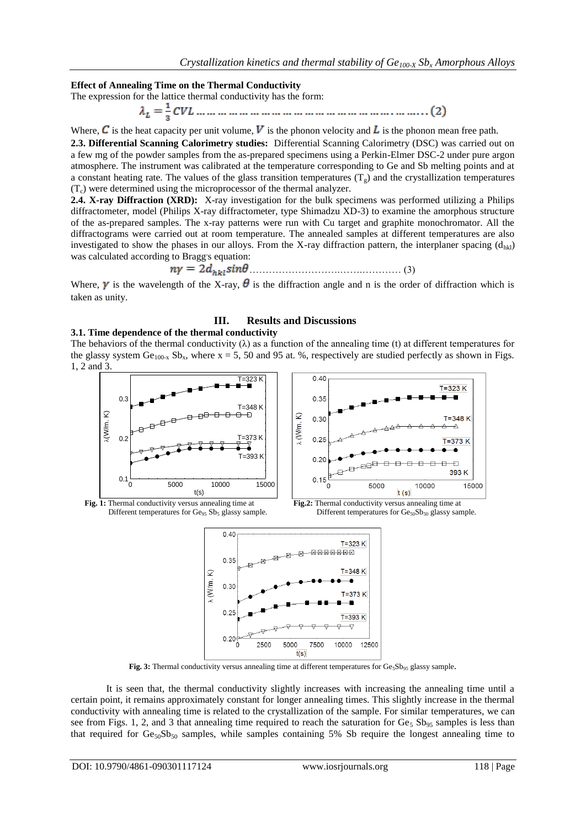### **Effect of Annealing Time on the Thermal Conductivity**

The expression for the lattice thermal conductivity has the form:

Where, C is the heat capacity per unit volume, V is the phonon velocity and L is the phonon mean free path.

**2.3. Differential Scanning Calorimetry studies:** Differential Scanning Calorimetry (DSC) was carried out on a few mg of the powder samples from the as-prepared specimens using a Perkin-Elmer DSC-2 under pure argon atmosphere. The instrument was calibrated at the temperature corresponding to Ge and Sb melting points and at a constant heating rate. The values of the glass transition temperatures  $(T<sub>s</sub>)$  and the crystallization temperatures  $(T_c)$  were determined using the microprocessor of the thermal analyzer.

**2.4. X-ray Diffraction (XRD):** X-ray investigation for the bulk specimens was performed utilizing a Philips diffractometer, model (Philips X-ray diffractometer, type Shimadzu XD-3) to examine the amorphous structure of the as-prepared samples. The x-ray patterns were run with Cu target and graphite monochromator. All the diffractograms were carried out at room temperature. The annealed samples at different temperatures are also investigated to show the phases in our alloys. From the X-ray diffraction pattern, the interplaner spacing  $(d_{hkl})$ was calculated according to Bragg's equation:

……………………….…….………… (3)

Where,  $\gamma$  is the wavelength of the X-ray,  $\theta$  is the diffraction angle and n is the order of diffraction which is taken as unity.

# **III. Results and Discussions**

#### **3.1. Time dependence of the thermal conductivity**

The behaviors of the thermal conductivity  $(\lambda)$  as a function of the annealing time (t) at different temperatures for the glassy system  $Ge_{100-x} Sb_x$ , where  $x = 5, 50$  and 95 at. %, respectively are studied perfectly as shown in Figs. 1, 2 and 3.







Fig. 3: Thermal conductivity versus annealing time at different temperatures for Ge<sub>5</sub>Sb<sub>95</sub> glassy sample.

It is seen that, the thermal conductivity slightly increases with increasing the annealing time until a certain point, it remains approximately constant for longer annealing times. This slightly increase in the thermal conductivity with annealing time is related to the crystallization of the sample. For similar temperatures, we can see from Figs. 1, 2, and 3 that annealing time required to reach the saturation for  $Ge_5$  Sb<sub>95</sub> samples is less than that required for  $Ge_{50}Sb_{50}$  samples, while samples containing 5% Sb require the longest annealing time to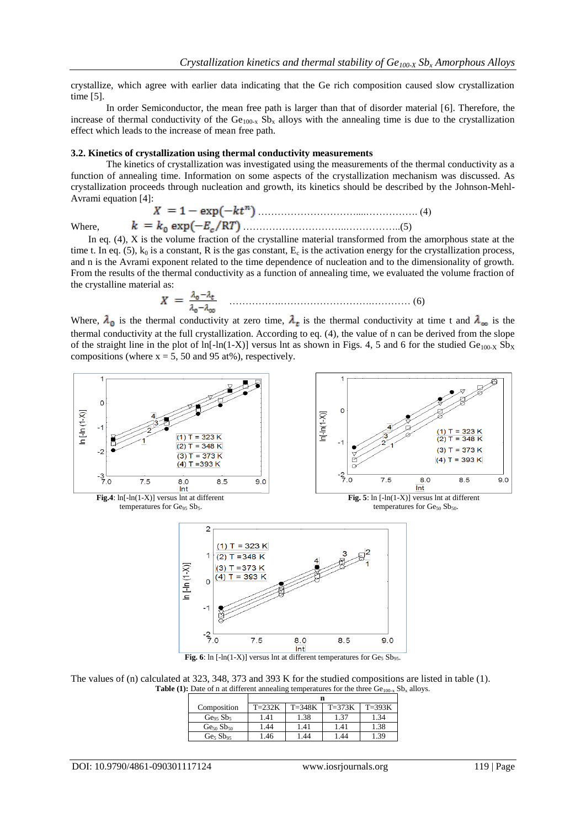crystallize, which agree with earlier data indicating that the Ge rich composition caused slow crystallization time [5].

In order Semiconductor, the mean free path is larger than that of disorder material [6]. Therefore, the increase of thermal conductivity of the  $Ge_{100-x}$  Sb<sub>x</sub> alloys with the annealing time is due to the crystallization effect which leads to the increase of mean free path.

#### **3.2. Kinetics of crystallization using thermal conductivity measurements**

The kinetics of crystallization was investigated using the measurements of the thermal conductivity as a function of annealing time. Information on some aspects of the crystallization mechanism was discussed. As crystallization proceeds through nucleation and growth, its kinetics should be described by the Johnson-Mehl-Avrami equation [4]:

$$
X = 1 - \exp(-kt^n)
$$
  
Where,  $k = k_0 \exp(-E_c/RT)$ .................(5)

 In eq. (4), X is the volume fraction of the crystalline material transformed from the amorphous state at the time t. In eq. (5),  $k_0$  is a constant, R is the gas constant,  $E_c$  is the activation energy for the crystallization process, and n is the Avrami exponent related to the time dependence of nucleation and to the dimensionality of growth. From the results of the thermal conductivity as a function of annealing time, we evaluated the volume fraction of the crystalline material as:

…………….……………………….………… (6)

Where,  $\lambda_0$  is the thermal conductivity at zero time,  $\lambda_t$  is the thermal conductivity at time t and  $\lambda_{\infty}$  is the thermal conductivity at the full crystallization. According to eq. (4), the value of n can be derived from the slope of the straight line in the plot of ln[-ln(1-X)] versus lnt as shown in Figs. 4, 5 and 6 for the studied  $Ge_{100-X}Sb_X$ compositions (where  $x = 5$ , 50 and 95 at%), respectively.



The values of (n) calculated at 323, 348, 373 and 393 K for the studied compositions are listed in table (1). **Table (1):** Date of n at different annealing temperatures for the three  $Ge_{100-x}Sb_x$  alloys.

| Composition                      | $T=232K$ | $T = 348K$ | $T=373K$ | $T=393K$ |  |  |
|----------------------------------|----------|------------|----------|----------|--|--|
| Ge <sub>95</sub> Sb <sub>5</sub> | .41      | 1.38       | 1.37     | 1.34     |  |  |
| $Ge_{50}Sb_{50}$                 | .44      | 1.41       | 1.41     | 1.38     |  |  |
| Ge <sub>5</sub> Sb <sub>95</sub> | .46      | 1.44       | l.44     | 1.39     |  |  |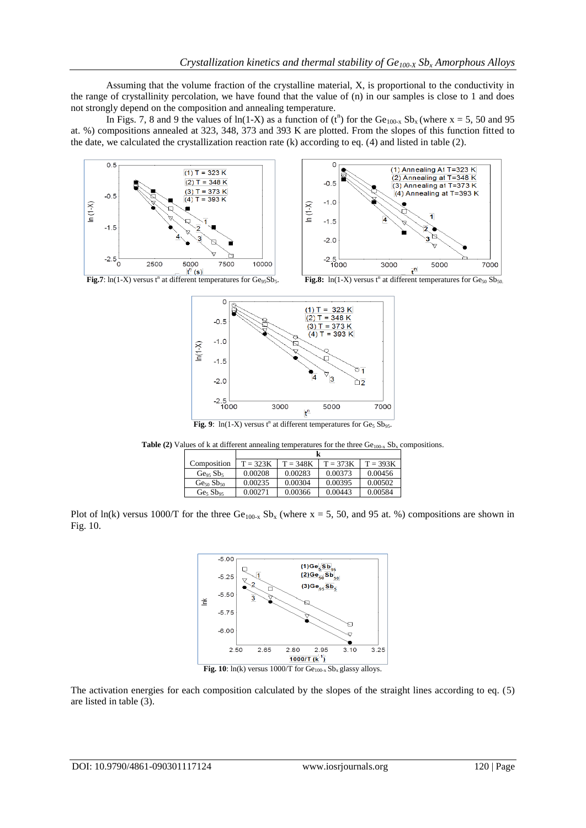Assuming that the volume fraction of the crystalline material, X, is proportional to the conductivity in the range of crystallinity percolation, we have found that the value of (n) in our samples is close to 1 and does not strongly depend on the composition and annealing temperature.

In Figs. 7, 8 and 9 the values of ln(1-X) as a function of  $(t^n)$  for the Ge<sub>100-x</sub> Sb<sub>x</sub> (where x = 5, 50 and 95 at. %) compositions annealed at 323, 348, 373 and 393 K are plotted. From the slopes of this function fitted to the date, we calculated the crystallization reaction rate (k) according to eq. (4) and listed in table (2).





Fig.8:  $\ln(1-X)$  versus t<sup>n</sup> at different temperatures for  $Ge_{50}Sb_{50}$ .



Fig. 9:  $ln(1-X)$  versus  $t^n$  at different temperatures for  $Ge_5 Sb_{95}$ .

**Table (2)** Values of k at different annealing temperatures for the three  $Ge_{100-x}$  Sb<sub>x</sub> compositions.

| Composition                      | $T = 323K$ | $T = 348K$ | $T = 373K$ | $T = 393K$ |  |  |
|----------------------------------|------------|------------|------------|------------|--|--|
| Ge <sub>95</sub> Sb <sub>5</sub> | 0.00208    | 0.00283    | 0.00373    | 0.00456    |  |  |
| $Ge_{50}Sb_{50}$                 | 0.00235    | 0.00304    | 0.00395    | 0.00502    |  |  |
| Ge <sub>5</sub> Sb <sub>95</sub> | 0.00271    | 0.00366    | 0.00443    | 0.00584    |  |  |

Plot of ln(k) versus 1000/T for the three  $Ge_{100-x} Sb_x$  (where x = 5, 50, and 95 at. %) compositions are shown in Fig. 10.



**Fig. 10**:  $ln(k)$  versus 1000/T for  $Ge_{100-x}Sb_x$  glassy alloys.

The activation energies for each composition calculated by the slopes of the straight lines according to eq. (5) are listed in table (3).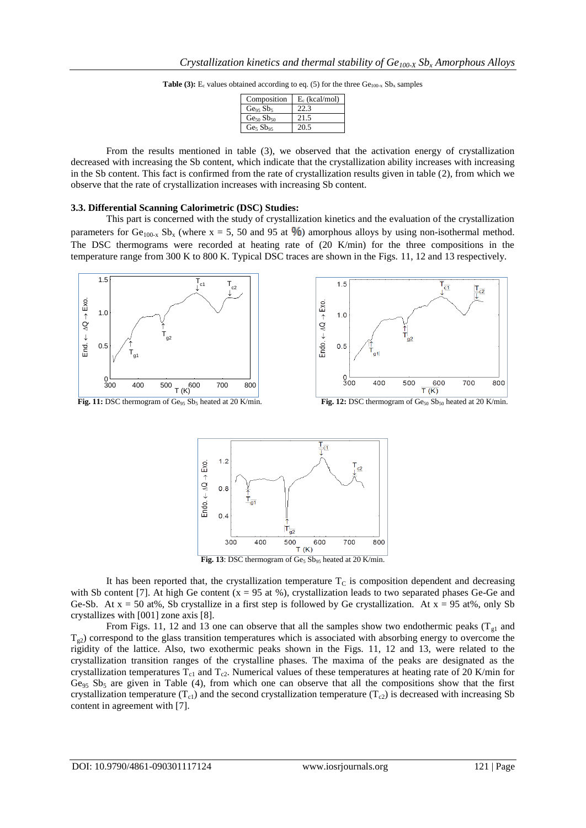| <b>Table (3):</b> E <sub>c</sub> values obtained according to eq. (5) for the three $Ge_{100-x}Sb_x$ samples |  |
|--------------------------------------------------------------------------------------------------------------|--|
|--------------------------------------------------------------------------------------------------------------|--|

| Composition                      | $E_c$ (kcal/mol) |
|----------------------------------|------------------|
| Ge <sub>95</sub> Sb <sub>5</sub> | 22.3             |
| $Ge_{50}Sb_{50}$                 | 21.5             |
| Ge <sub>5</sub> Sb <sub>95</sub> | 20.5             |

From the results mentioned in table (3), we observed that the activation energy of crystallization decreased with increasing the Sb content, which indicate that the crystallization ability increases with increasing in the Sb content. This fact is confirmed from the rate of crystallization results given in table (2), from which we observe that the rate of crystallization increases with increasing Sb content.

#### **3.3. Differential Scanning Calorimetric (DSC) Studies:**

This part is concerned with the study of crystallization kinetics and the evaluation of the crystallization parameters for Ge<sub>100-x</sub> Sb<sub>x</sub> (where x = 5, 50 and 95 at  $\%$ ) amorphous alloys by using non-isothermal method. The DSC thermograms were recorded at heating rate of (20 K/min) for the three compositions in the temperature range from 300 K to 800 K. Typical DSC traces are shown in the Figs. 11, 12 and 13 respectively.





It has been reported that, the crystallization temperature  $T<sub>C</sub>$  is composition dependent and decreasing with Sb content [7]. At high Ge content  $(x = 95$  at %), crystallization leads to two separated phases Ge-Ge and Ge-Sb. At  $x = 50$  at%, Sb crystallize in a first step is followed by Ge crystallization. At  $x = 95$  at%, only Sb crystallizes with [001] zone axis [8].

From Figs. 11, 12 and 13 one can observe that all the samples show two endothermic peaks ( $T_{gl}$  and  $T_{g2}$ ) correspond to the glass transition temperatures which is associated with absorbing energy to overcome the rigidity of the lattice. Also, two exothermic peaks shown in the Figs. 11, 12 and 13, were related to the crystallization transition ranges of the crystalline phases. The maxima of the peaks are designated as the crystallization temperatures  $T_{c1}$  and  $T_{c2}$ . Numerical values of these temperatures at heating rate of 20 K/min for  $Ge_{95}$  Sb<sub>5</sub> are given in Table (4), from which one can observe that all the compositions show that the first crystallization temperature ( $T_{c1}$ ) and the second crystallization temperature ( $T_{c2}$ ) is decreased with increasing Sb content in agreement with [7].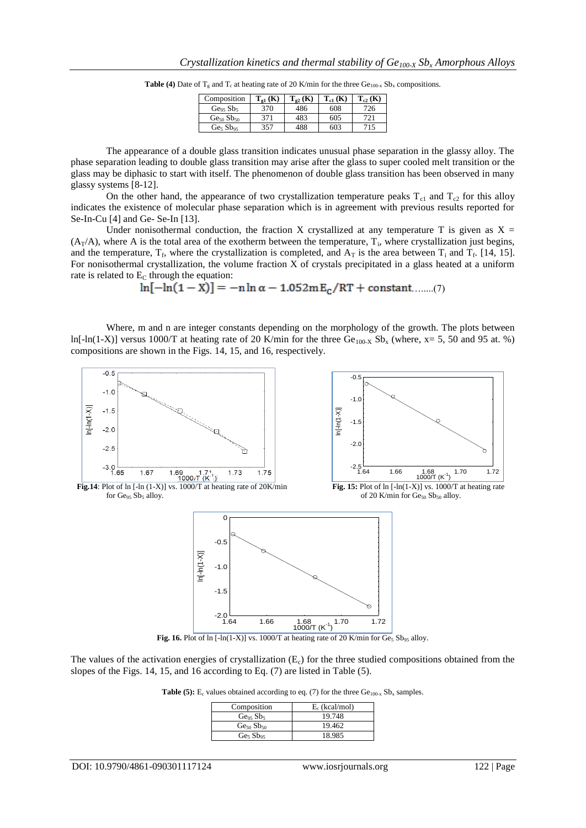| Composition                      | (K)  | $T_{22}$ (K) | $T_{c1}$ (K) | $\cdot$ (K) |
|----------------------------------|------|--------------|--------------|-------------|
| Ge <sub>95</sub> Sb <sub>5</sub> | 370  | 486          | 608          | 726.        |
| $Ge_{50}Sb_{50}$                 | 371  | 483          | 605          | '21.        |
| Ge <sub>5</sub> Sb <sub>95</sub> | 357. | 188          | 603          | 15          |

**Table (4)** Date of  $T_g$  and  $T_c$  at heating rate of 20 K/min for the three  $Ge_{100-x}$  Sb<sub>x</sub> compositions.

The appearance of a double glass transition indicates unusual phase separation in the glassy alloy. The phase separation leading to double glass transition may arise after the glass to super cooled melt transition or the glass may be diphasic to start with itself. The phenomenon of double glass transition has been observed in many glassy systems [8-12].

On the other hand, the appearance of two crystallization temperature peaks  $T_{c1}$  and  $T_{c2}$  for this alloy indicates the existence of molecular phase separation which is in agreement with previous results reported for Se-In-Cu [4] and Ge- Se-In [13].

Under nonisothermal conduction, the fraction X crystallized at any temperature T is given as  $X =$  $(A_T/A)$ , where A is the total area of the exotherm between the temperature,  $T_i$ , where crystallization just begins, and the temperature,  $T_f$ , where the crystallization is completed, and  $A_T$  is the area between  $T_i$  and  $T_f$ . [14, 15]. For nonisothermal crystallization, the volume fraction X of crystals precipitated in a glass heated at a uniform rate is related to  $E<sub>C</sub>$  through the equation:

 $\ln[-\ln(1-X)] = -n \ln \alpha - 1.052mE_c/RT + constant .....(7)$ 

Where, m and n are integer constants depending on the morphology of the growth. The plots between ln[-ln(1-X)] versus 1000/T at heating rate of 20 K/min for the three Ge<sub>100-X</sub> Sb<sub>x</sub> (where, x= 5, 50 and 95 at. %) compositions are shown in the Figs. 14, 15, and 16, respectively.



The values of the activation energies of crystallization  $(E_c)$  for the three studied compositions obtained from the slopes of the Figs. 14, 15, and 16 according to Eq. (7) are listed in Table (5).

**Table (5):**  $E_c$  values obtained according to eq. (7) for the three  $Ge_{100-x}Sb_x$  samples.

| Composition                      | $E_c$ (kcal/mol) |
|----------------------------------|------------------|
| Ge <sub>95</sub> Sb <sub>5</sub> | 19.748           |
| $Ge_{50}Sb_{50}$                 | 19.462           |
| Ge <sub>5</sub> Sb <sub>95</sub> | 18.985           |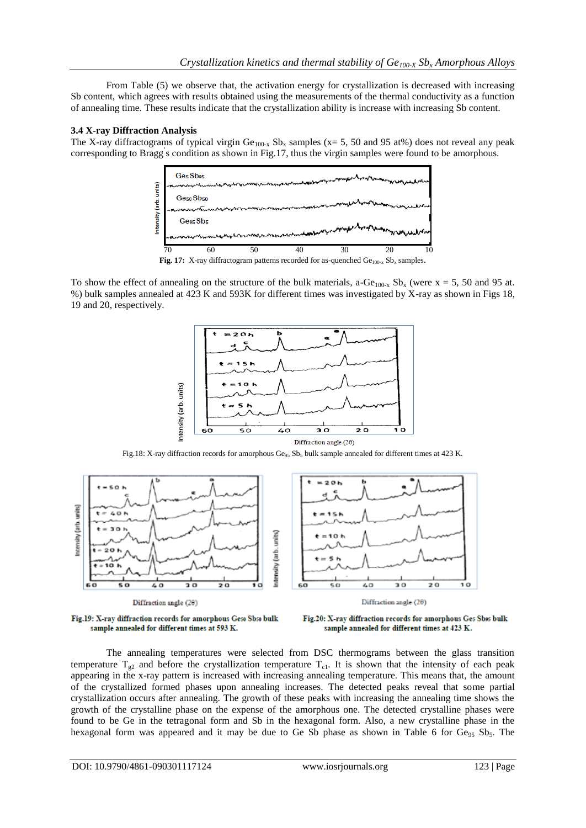From Table (5) we observe that, the activation energy for crystallization is decreased with increasing Sb content, which agrees with results obtained using the measurements of the thermal conductivity as a function of annealing time. These results indicate that the crystallization ability is increase with increasing Sb content.

# **3.4 X-ray Diffraction Analysis**

The X-ray diffractograms of typical virgin  $Ge_{100-x}$  Sb<sub>x</sub> samples (x= 5, 50 and 95 at%) does not reveal any peak corresponding to Bragg' s condition as shown in Fig.17, thus the virgin samples were found to be amorphous.



Fig. 17: X-ray diffractogram patterns recorded for as-quenched  $Ge_{100-x} Sb_x$  samples.

To show the effect of annealing on the structure of the bulk materials, a-Ge<sub>100-x</sub> Sb<sub>x</sub> (were x = 5, 50 and 95 at. %) bulk samples annealed at 423 K and 593K for different times was investigated by X-ray as shown in Figs 18, 19 and 20, respectively.



Fig.18: X-ray diffraction records for amorphous  $Ge_{95}Sb_5$  bulk sample annealed for different times at 423 K.



Fig.19: X-ray diffraction records for amorphous Geso Sbso bulk sample annealed for different times at 593 K.



The annealing temperatures were selected from DSC thermograms between the glass transition temperature  $T_{g2}$  and before the crystallization temperature  $T_{c1}$ . It is shown that the intensity of each peak appearing in the x-ray pattern is increased with increasing annealing temperature. This means that, the amount of the crystallized formed phases upon annealing increases. The detected peaks reveal that some partial crystallization occurs after annealing. The growth of these peaks with increasing the annealing time shows the growth of the crystalline phase on the expense of the amorphous one. The detected crystalline phases were found to be Ge in the tetragonal form and Sb in the hexagonal form. Also, a new crystalline phase in the hexagonal form was appeared and it may be due to Ge Sb phase as shown in Table 6 for  $Ge_{95}$  Sb<sub>5</sub>. The